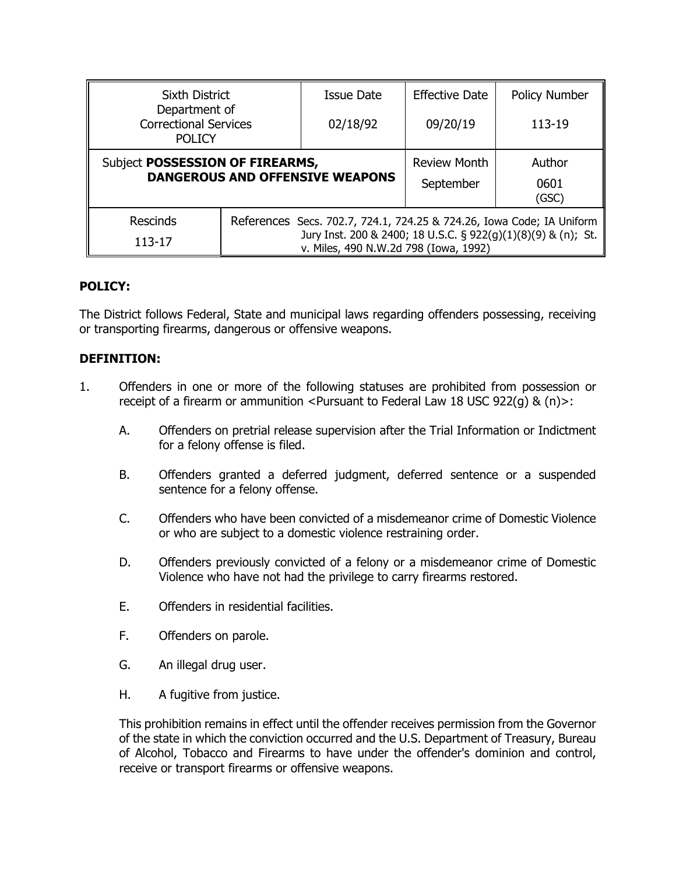| <b>Sixth District</b><br>Department of<br><b>Correctional Services</b><br><b>POLICY</b> |                                                                                                                                                                                 | <b>Issue Date</b> | <b>Effective Date</b>            | <b>Policy Number</b>    |
|-----------------------------------------------------------------------------------------|---------------------------------------------------------------------------------------------------------------------------------------------------------------------------------|-------------------|----------------------------------|-------------------------|
|                                                                                         |                                                                                                                                                                                 | 02/18/92          | 09/20/19                         | 113-19                  |
| Subject POSSESSION OF FIREARMS,<br><b>DANGEROUS AND OFFENSIVE WEAPONS</b>               |                                                                                                                                                                                 |                   | <b>Review Month</b><br>September | Author<br>0601<br>(GSC) |
| <b>Rescinds</b><br>113-17                                                               | References Secs. 702.7, 724.1, 724.25 & 724.26, Iowa Code; IA Uniform<br>Jury Inst. 200 & 2400; 18 U.S.C. § 922(g)(1)(8)(9) & (n); St.<br>v. Miles, 490 N.W.2d 798 (Iowa, 1992) |                   |                                  |                         |

# **POLICY:**

The District follows Federal, State and municipal laws regarding offenders possessing, receiving or transporting firearms, dangerous or offensive weapons.

#### **DEFINITION:**

- 1. Offenders in one or more of the following statuses are prohibited from possession or receipt of a firearm or ammunition <Pursuant to Federal Law 18 USC 922(g) &  $(n)$  :
	- A. Offenders on pretrial release supervision after the Trial Information or Indictment for a felony offense is filed.
	- B. Offenders granted a deferred judgment, deferred sentence or a suspended sentence for a felony offense.
	- C. Offenders who have been convicted of a misdemeanor crime of Domestic Violence or who are subject to a domestic violence restraining order.
	- D. Offenders previously convicted of a felony or a misdemeanor crime of Domestic Violence who have not had the privilege to carry firearms restored.
	- E. Offenders in residential facilities.
	- F. Offenders on parole.
	- G. An illegal drug user.
	- H. A fugitive from justice.

This prohibition remains in effect until the offender receives permission from the Governor of the state in which the conviction occurred and the U.S. Department of Treasury, Bureau of Alcohol, Tobacco and Firearms to have under the offender's dominion and control, receive or transport firearms or offensive weapons.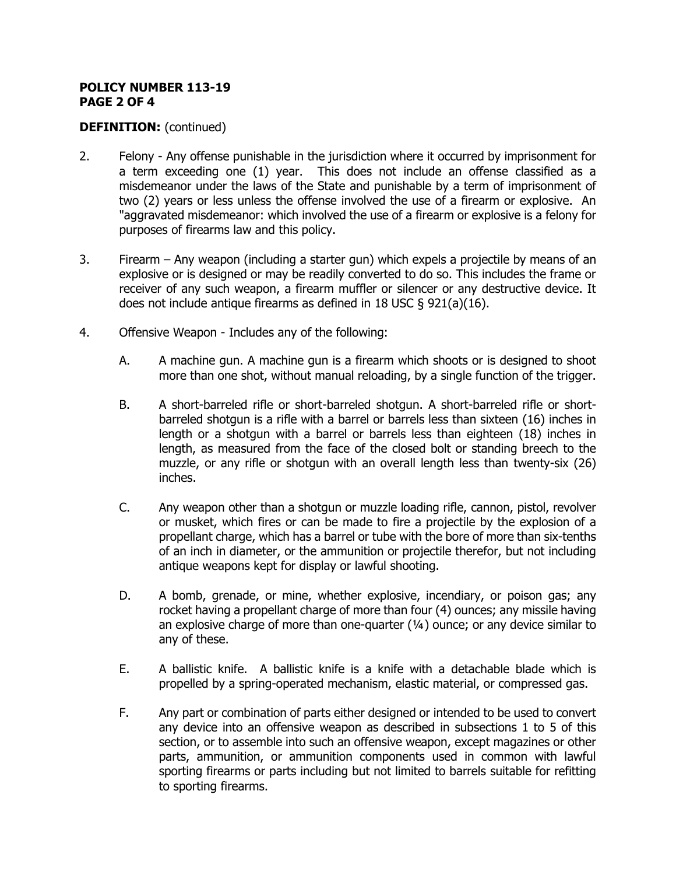#### **POLICY NUMBER 113-19 PAGE 2 OF 4**

# **DEFINITION:** (continued)

- 2. Felony Any offense punishable in the jurisdiction where it occurred by imprisonment for a term exceeding one (1) year. This does not include an offense classified as a misdemeanor under the laws of the State and punishable by a term of imprisonment of two (2) years or less unless the offense involved the use of a firearm or explosive. An "aggravated misdemeanor: which involved the use of a firearm or explosive is a felony for purposes of firearms law and this policy.
- 3. Firearm Any weapon (including a starter gun) which expels a projectile by means of an explosive or is designed or may be readily converted to do so. This includes the frame or receiver of any such weapon, a firearm muffler or silencer or any destructive device. It does not include antique firearms as defined in 18 USC § 921(a)(16).
- 4. Offensive Weapon Includes any of the following:
	- A. A machine gun. A machine gun is a firearm which shoots or is designed to shoot more than one shot, without manual reloading, by a single function of the trigger.
	- B. A short-barreled rifle or short-barreled shotgun. A short-barreled rifle or shortbarreled shotgun is a rifle with a barrel or barrels less than sixteen (16) inches in length or a shotgun with a barrel or barrels less than eighteen (18) inches in length, as measured from the face of the closed bolt or standing breech to the muzzle, or any rifle or shotgun with an overall length less than twenty-six (26) inches.
	- C. Any weapon other than a shotgun or muzzle loading rifle, cannon, pistol, revolver or musket, which fires or can be made to fire a projectile by the explosion of a propellant charge, which has a barrel or tube with the bore of more than six-tenths of an inch in diameter, or the ammunition or projectile therefor, but not including antique weapons kept for display or lawful shooting.
	- D. A bomb, grenade, or mine, whether explosive, incendiary, or poison gas; any rocket having a propellant charge of more than four (4) ounces; any missile having an explosive charge of more than one-quarter (¼) ounce; or any device similar to any of these.
	- E. A ballistic knife. A ballistic knife is a knife with a detachable blade which is propelled by a spring-operated mechanism, elastic material, or compressed gas.
	- F. Any part or combination of parts either designed or intended to be used to convert any device into an offensive weapon as described in subsections 1 to 5 of this section, or to assemble into such an offensive weapon, except magazines or other parts, ammunition, or ammunition components used in common with lawful sporting firearms or parts including but not limited to barrels suitable for refitting to sporting firearms.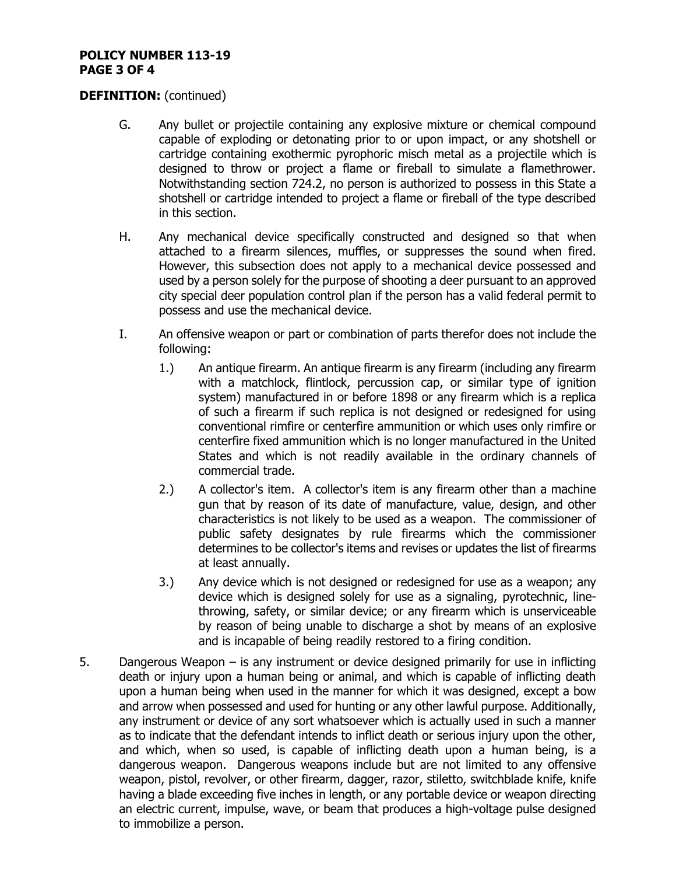## **POLICY NUMBER 113-19 PAGE 3 OF 4**

# **DEFINITION:** (continued)

- G. Any bullet or projectile containing any explosive mixture or chemical compound capable of exploding or detonating prior to or upon impact, or any shotshell or cartridge containing exothermic pyrophoric misch metal as a projectile which is designed to throw or project a flame or fireball to simulate a flamethrower. Notwithstanding section 724.2, no person is authorized to possess in this State a shotshell or cartridge intended to project a flame or fireball of the type described in this section.
- H. Any mechanical device specifically constructed and designed so that when attached to a firearm silences, muffles, or suppresses the sound when fired. However, this subsection does not apply to a mechanical device possessed and used by a person solely for the purpose of shooting a deer pursuant to an approved city special deer population control plan if the person has a valid federal permit to possess and use the mechanical device.
- I. An offensive weapon or part or combination of parts therefor does not include the following:
	- 1.) An antique firearm. An antique firearm is any firearm (including any firearm with a matchlock, flintlock, percussion cap, or similar type of ignition system) manufactured in or before 1898 or any firearm which is a replica of such a firearm if such replica is not designed or redesigned for using conventional rimfire or centerfire ammunition or which uses only rimfire or centerfire fixed ammunition which is no longer manufactured in the United States and which is not readily available in the ordinary channels of commercial trade.
	- 2.) A collector's item. A collector's item is any firearm other than a machine gun that by reason of its date of manufacture, value, design, and other characteristics is not likely to be used as a weapon. The commissioner of public safety designates by rule firearms which the commissioner determines to be collector's items and revises or updates the list of firearms at least annually.
	- 3.) Any device which is not designed or redesigned for use as a weapon; any device which is designed solely for use as a signaling, pyrotechnic, linethrowing, safety, or similar device; or any firearm which is unserviceable by reason of being unable to discharge a shot by means of an explosive and is incapable of being readily restored to a firing condition.
- 5. Dangerous Weapon is any instrument or device designed primarily for use in inflicting death or injury upon a human being or animal, and which is capable of inflicting death upon a human being when used in the manner for which it was designed, except a bow and arrow when possessed and used for hunting or any other lawful purpose. Additionally, any instrument or device of any sort whatsoever which is actually used in such a manner as to indicate that the defendant intends to inflict death or serious injury upon the other, and which, when so used, is capable of inflicting death upon a human being, is a dangerous weapon. Dangerous weapons include but are not limited to any offensive weapon, pistol, revolver, or other firearm, dagger, razor, stiletto, switchblade knife, knife having a blade exceeding five inches in length, or any portable device or weapon directing an electric current, impulse, wave, or beam that produces a high-voltage pulse designed to immobilize a person.